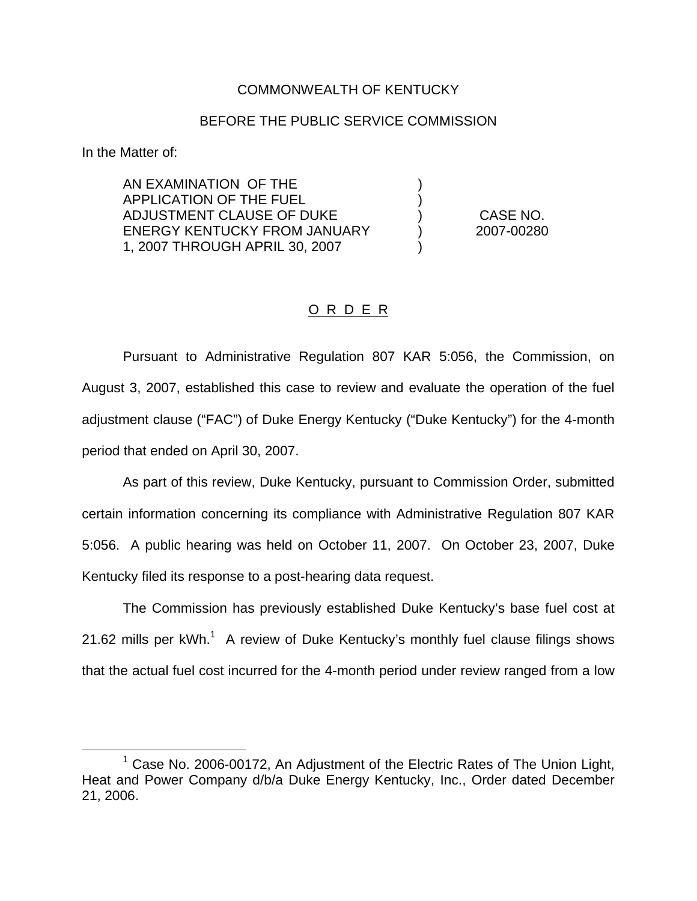## COMMONWEALTH OF KENTUCKY

## BEFORE THE PUBLIC SERVICE COMMISSION

) )

)

In the Matter of:

AN EXAMINATION OF THE APPLICATION OF THE FUEL ADJUSTMENT CLAUSE OF DUKE ENERGY KENTUCKY FROM JANUARY 1, 2007 THROUGH APRIL 30, 2007

) CASE NO. ) 2007-00280

## O R D E R

Pursuant to Administrative Regulation 807 KAR 5:056, the Commission, on August 3, 2007, established this case to review and evaluate the operation of the fuel adjustment clause ("FAC") of Duke Energy Kentucky ("Duke Kentucky") for the 4-month period that ended on April 30, 2007.

As part of this review, Duke Kentucky, pursuant to Commission Order, submitted certain information concerning its compliance with Administrative Regulation 807 KAR 5:056. A public hearing was held on October 11, 2007. On October 23, 2007, Duke Kentucky filed its response to a post-hearing data request.

The Commission has previously established Duke Kentucky's base fuel cost at 21.62 mills per  $kWh$ <sup>1</sup>. A review of Duke Kentucky's monthly fuel clause filings shows that the actual fuel cost incurred for the 4-month period under review ranged from a low

 $1$  Case No. 2006-00172, An Adjustment of the Electric Rates of The Union Light, Heat and Power Company d/b/a Duke Energy Kentucky, Inc., Order dated December 21, 2006.